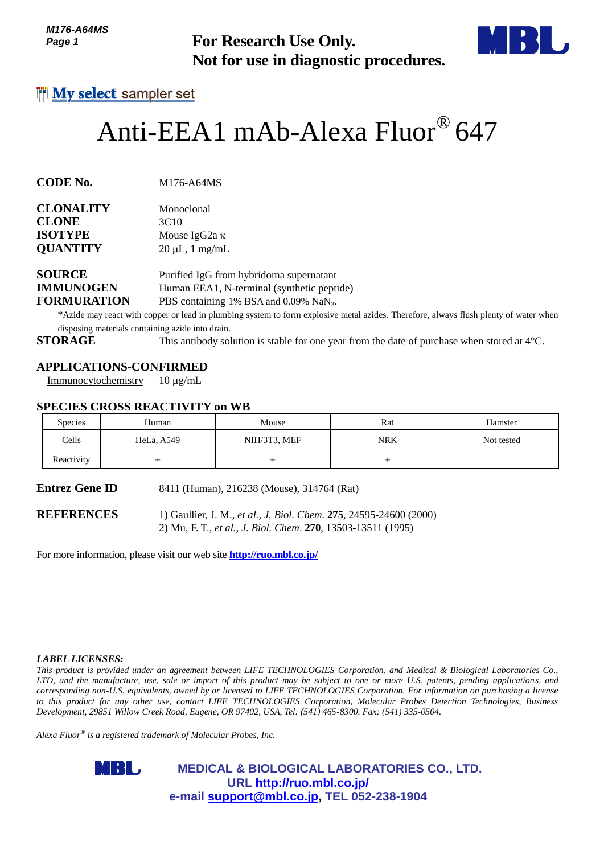*M176-A64MS Page 1*



# Anti-EEA1 mAb-Alexa Fluor® 647

| <b>CLONALITY</b> | Monoclonal           |
|------------------|----------------------|
| <b>CLONE</b>     | 3C <sub>10</sub>     |
| <b>ISOTYPE</b>   | Mouse IgG2a $\kappa$ |
| <b>QUANTITY</b>  | $20 \mu L$ , 1 mg/mL |
|                  |                      |

## **APPLICATIONS-CONFIRMED**

#### **SPECIES CROSS REACTIVITY on WB**

| <i>IVI I I</i> U-AU4/110<br>Page 1                                        |                                                                                         | <b>For Research Use Only.</b><br>Not for use in diagnostic procedures.                                                                                                                                                                                                                                                                                                                                                                                                                                                                                                                                                                              |            |            |  |  |
|---------------------------------------------------------------------------|-----------------------------------------------------------------------------------------|-----------------------------------------------------------------------------------------------------------------------------------------------------------------------------------------------------------------------------------------------------------------------------------------------------------------------------------------------------------------------------------------------------------------------------------------------------------------------------------------------------------------------------------------------------------------------------------------------------------------------------------------------------|------------|------------|--|--|
|                                                                           | <b>My select</b> sampler set                                                            |                                                                                                                                                                                                                                                                                                                                                                                                                                                                                                                                                                                                                                                     |            |            |  |  |
|                                                                           |                                                                                         | Anti-EEA1 mAb-Alexa Fluor® 647                                                                                                                                                                                                                                                                                                                                                                                                                                                                                                                                                                                                                      |            |            |  |  |
| CODE No.                                                                  | M176-A64MS                                                                              |                                                                                                                                                                                                                                                                                                                                                                                                                                                                                                                                                                                                                                                     |            |            |  |  |
| <b>CLONALITY</b><br>CLONE<br><b>ISOTYPE</b><br><b>QUANTITY</b>            | Monoclonal<br>3C10<br>Mouse IgG <sub>2a</sub> κ<br>$20 \mu L$ , 1 mg/mL                 |                                                                                                                                                                                                                                                                                                                                                                                                                                                                                                                                                                                                                                                     |            |            |  |  |
| <b>SOURCE</b><br><b>IMMUNOGEN</b><br><b>FORMURATION</b><br><b>STORAGE</b> | disposing materials containing azide into drain.                                        | Purified IgG from hybridoma supernatant<br>Human EEA1, N-terminal (synthetic peptide)<br>PBS containing 1% BSA and 0.09% NaN <sub>3</sub> .<br>*Azide may react with copper or lead in plumbing system to form explosive metal azides. Therefore, always flush plenty of water when<br>This antibody solution is stable for one year from the date of purchase when stored at $4^{\circ}$ C.                                                                                                                                                                                                                                                        |            |            |  |  |
| Immunocytochemistry                                                       | <b>APPLICATIONS-CONFIRMED</b><br>$10 \mu g/mL$<br><b>SPECIES CROSS REACTIVITY on WB</b> |                                                                                                                                                                                                                                                                                                                                                                                                                                                                                                                                                                                                                                                     |            |            |  |  |
| <b>Species</b>                                                            | Human                                                                                   | Mouse                                                                                                                                                                                                                                                                                                                                                                                                                                                                                                                                                                                                                                               | Rat        | Hamster    |  |  |
| Cells                                                                     | HeLa, A549                                                                              | NIH/3T3, MEF                                                                                                                                                                                                                                                                                                                                                                                                                                                                                                                                                                                                                                        | <b>NRK</b> | Not tested |  |  |
| Reactivity                                                                | $^{+}$                                                                                  | $^{+}$                                                                                                                                                                                                                                                                                                                                                                                                                                                                                                                                                                                                                                              | $^{+}$     |            |  |  |
| Entrez Gene ID                                                            |                                                                                         | 8411 (Human), 216238 (Mouse), 314764 (Rat)                                                                                                                                                                                                                                                                                                                                                                                                                                                                                                                                                                                                          |            |            |  |  |
| <b>REFERENCES</b>                                                         | For more information, please visit our web site <b>http://ruo.mbl.co.jp/</b>            | 1) Gaullier, J. M., et al., J. Biol. Chem. 275, 24595-24600 (2000)<br>2) Mu, F. T., et al., J. Biol. Chem. 270, 13503-13511 (1995)                                                                                                                                                                                                                                                                                                                                                                                                                                                                                                                  |            |            |  |  |
|                                                                           |                                                                                         |                                                                                                                                                                                                                                                                                                                                                                                                                                                                                                                                                                                                                                                     |            |            |  |  |
| <i><b>LABEL LICENSES:</b></i>                                             | Alexa Fluor $^{\circledast}$ is a registered trademark of Molecular Probes, Inc.        | This product is provided under an agreement between LIFE TECHNOLOGIES Corporation, and Medical & Biological Laboratories Co.,<br>LTD, and the manufacture, use, sale or import of this product may be subject to one or more U.S. patents, pending applications, and<br>corresponding non-U.S. equivalents, owned by or licensed to LIFE TECHNOLOGIES Corporation. For information on purchasing a license<br>to this product for any other use, contact LIFE TECHNOLOGIES Corporation, Molecular Probes Detection Technologies, Business<br>Development, 29851 Willow Creek Road, Eugene, OR 97402, USA, Tel: (541) 465-8300. Fax: (541) 335-0504. |            |            |  |  |
|                                                                           |                                                                                         |                                                                                                                                                                                                                                                                                                                                                                                                                                                                                                                                                                                                                                                     |            |            |  |  |
|                                                                           | MBL,                                                                                    | <b>MEDICAL &amp; BIOLOGICAL LABORATORIES CO., LTD.</b><br>URL http://ruo.mbl.co.jp/<br>e-mail support@mbl.co.jp, TEL 052-238-1904                                                                                                                                                                                                                                                                                                                                                                                                                                                                                                                   |            |            |  |  |

#### *LABEL LICENSES:*

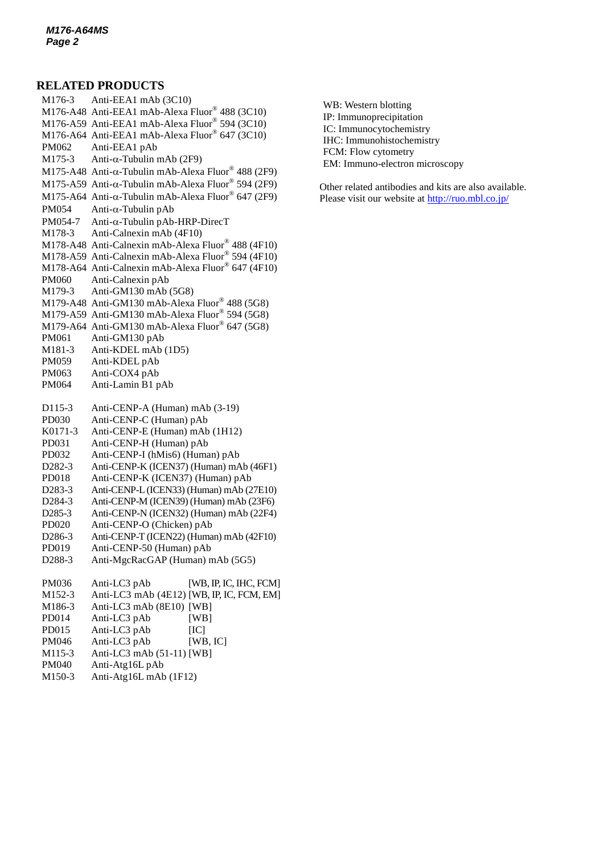#### **RELATED PRODUCTS**

M176-3 Anti-EEA1 mAb (3C10) M176-A48 Anti-EEA1 mAb-Alexa Fluor® 488 (3C10) M176-A59 Anti-EEA1 mAb-Alexa Fluor® 594 (3C10) M176-A64 Anti-EEA1 mAb-Alexa Fluor® 647 (3C10) PM062 Anti-EEA1 pAb M175-3 Anti- $\alpha$ [-Tubulin mAb](http://ruo.mbl.co.jp/dtl/A/M175-3/) (2F9) M175-A48 Anti- $\alpha$ -Tubulin mAb-Alexa Fluor® 488 (2F9) M175-A59 Anti- $\alpha$ -Tubulin mAb-Alexa Fluor® 594 (2F9) M175-A64 Anti- $\alpha$ -Tubulin mAb-Alexa Fluor® 647 (2F9)  $PM054$  Anti- $\alpha$ [-Tubulin pAb](http://ruo.mbl.co.jp/dtl/A/PM054/)  $PM054-7$  Anti- $\alpha$ [-Tubulin pAb-HRP-DirecT](http://ruo.mbl.co.jp/dtl/A/PM054-7/) M178-3 Anti-Calnexin mAb (4F10) M178-A48 Anti-Calnexin mAb-Alexa Fluor® 488 (4F10) M178-A59 Anti-Calnexin mAb-Alexa Fluor® 594 (4F10) M178-A64 Anti-Calnexin mAb-Alexa Fluor® 647 (4F10) PM060 Anti-Calnexin pAb M179-3 Anti-GM130 mAb (5G8) M179-A48 Anti-GM130 mAb-Alexa Fluor® 488 (5G8) M179-A59 Anti-GM130 mAb-Alexa Fluor® 594 (5G8) M179-A64 Anti-GM130 mAb-Alexa Fluor® 647 (5G8) PM061 Anti-GM130 pAb M181-3 Anti-KDEL mAb (1D5) PM059 Anti-KDEL pAb PM063 Anti-COX4 pAb PM064 Anti-Lamin B1 pAb D115-3 Anti-CENP-A (Human) mAb (3-19) PD030 [Anti-CENP-C \(Human\) pAb](http://ruo.mbl.co.jp/dtl/A/PD030/) K0171-3 Anti-CENP-E (Human) mAb (1H12) PD031 [Anti-CENP-H \(Human\) pAb](http://ruo.mbl.co.jp/dtl/A/PD030/) PD032 [Anti-CENP-I \(hMis6\) \(Human\) pAb](http://ruo.mbl.co.jp/dtl/A/PD032/) D282-3 [Anti-CENP-K \(ICEN37\) \(Human\) mAb](http://ruo.mbl.co.jp/dtl/A/D282-3/) (46F1) PD018 Anti-CENP-K (ICEN37) (Human) pAb D283-3 [Anti-CENP-L \(ICEN33\) \(Human\) mAb](http://ruo.mbl.co.jp/dtl/A/D283-3/) (27E10) D284-3 [Anti-CENP-M \(ICEN39\) \(Human\) mAb](http://ruo.mbl.co.jp/dtl/A/D284-3/) (23F6) D285-3 [Anti-CENP-N \(ICEN32\) \(Human\) mAb](http://ruo.mbl.co.jp/dtl/A/D285-3/) (22F4) PD020 Anti-CENP-O (Chicken) pAb D286-3 [Anti-CENP-T \(ICEN22\) \(Human\) mAb](http://ruo.mbl.co.jp/dtl/A/D286-3/) (42F10) PD019 Anti-CENP-50 (Human) pAb D288-3 Anti-MgcRacGAP (Human) mAb (5G5) PM036 Anti-LC3 pAb [WB, IP, IC, IHC, FCM] M152-3 Anti-LC3 mAb (4E12) [WB, IP, IC, FCM, EM] M186-3 Anti-LC3 mAb (8E10) [WB] PD014 Anti-LC3 pAb [WB] PD015 Anti-LC3 pAb [IC] PM046 Anti-LC3 pAb [WB, IC] M115-3 Anti-LC3 mAb (51-11) [WB] PM040 [Anti-Atg16L pAb](http://ruo.mbl.co.jp/dtl/A/PM040/)

M150-3 [Anti-Atg16L mAb](http://ruo.mbl.co.jp/dtl/A/M150-3/) (1F12)

WB: Western blotting IP: Immunoprecipitation IC: Immunocytochemistry IHC: Immunohistochemistry FCM: Flow cytometry EM: Immuno-electron microscopy

Other related antibodies and kits are also available. Please visit our website at<http://ruo.mbl.co.jp/>